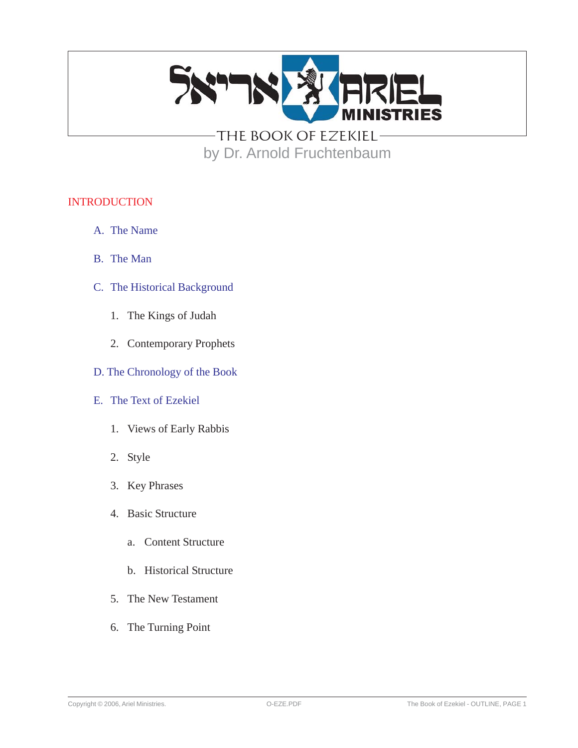

THE BOOK OF EZEKIEL by Dr. Arnold Fruchtenbaum

#### INTRODUCTION

- A. The Name
- B. The Man
- C. The Historical Background
	- 1. The Kings of Judah
	- 2. Contemporary Prophets
- D. The Chronology of the Book
- E. The Text of Ezekiel
	- 1. Views of Early Rabbis
	- 2. Style
	- 3. Key Phrases
	- 4. Basic Structure
		- a. Content Structure
		- b. Historical Structure
	- 5. The New Testament
	- 6. The Turning Point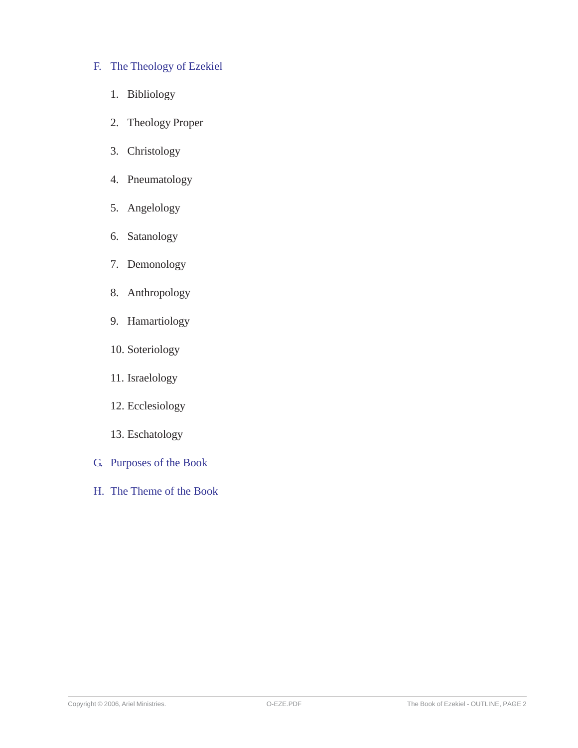- F. The Theology of Ezekiel
	- 1. Bibliology
	- 2. Theology Proper
	- 3. Christology
	- 4. Pneumatology
	- 5. Angelology
	- 6. Satanology
	- 7. Demonology
	- 8. Anthropology
	- 9. Hamartiology
	- 10. Soteriology
	- 11. Israelology
	- 12. Ecclesiology
	- 13. Eschatology
- G. Purposes of the Book
- H. The Theme of the Book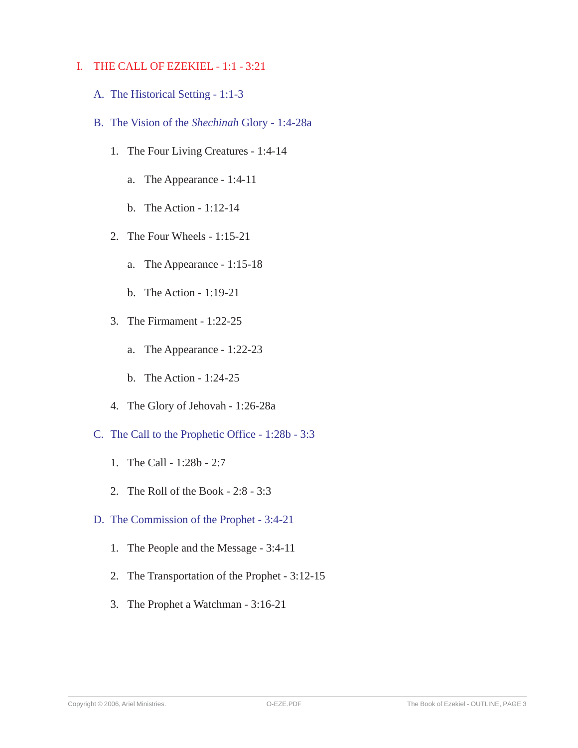#### I. THE CALL OF EZEKIEL - 1:1 - 3:21

- A. The Historical Setting 1:1-3
- B. The Vision of the *Shechinah* Glory 1:4-28a
	- 1. The Four Living Creatures 1:4-14
		- a. The Appearance 1:4-11
		- b. The Action 1:12-14
	- 2. The Four Wheels 1:15-21
		- a. The Appearance 1:15-18
		- b. The Action 1:19-21
	- 3. The Firmament 1:22-25
		- a. The Appearance 1:22-23
		- b. The Action 1:24-25
	- 4. The Glory of Jehovah 1:26-28a
- C. The Call to the Prophetic Office 1:28b 3:3
	- 1. The Call 1:28b 2:7
	- 2. The Roll of the Book 2:8 3:3
- D. The Commission of the Prophet 3:4-21
	- 1. The People and the Message 3:4-11
	- 2. The Transportation of the Prophet 3:12-15
	- 3. The Prophet a Watchman 3:16-21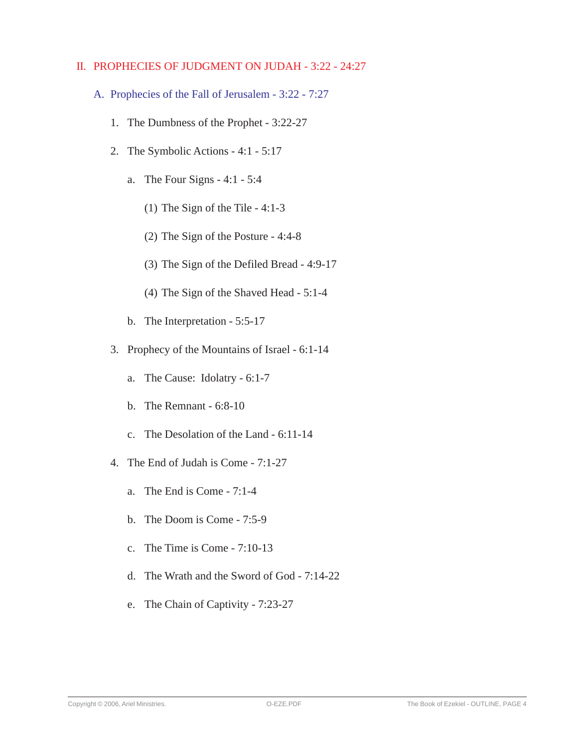#### II. PROPHECIES OF JUDGMENT ON JUDAH - 3:22 - 24:27

- A. Prophecies of the Fall of Jerusalem 3:22 7:27
	- 1. The Dumbness of the Prophet 3:22-27
	- 2. The Symbolic Actions 4:1 5:17
		- a. The Four Signs 4:1 5:4
			- (1) The Sign of the Tile 4:1-3
			- (2) The Sign of the Posture 4:4-8
			- (3) The Sign of the Defiled Bread 4:9-17
			- (4) The Sign of the Shaved Head 5:1-4
		- b. The Interpretation 5:5-17
	- 3. Prophecy of the Mountains of Israel 6:1-14
		- a. The Cause: Idolatry 6:1-7
		- b. The Remnant 6:8-10
		- c. The Desolation of the Land 6:11-14
	- 4. The End of Judah is Come 7:1-27
		- a. The End is Come 7:1-4
		- b. The Doom is Come 7:5-9
		- c. The Time is Come 7:10-13
		- d. The Wrath and the Sword of God 7:14-22
		- e. The Chain of Captivity 7:23-27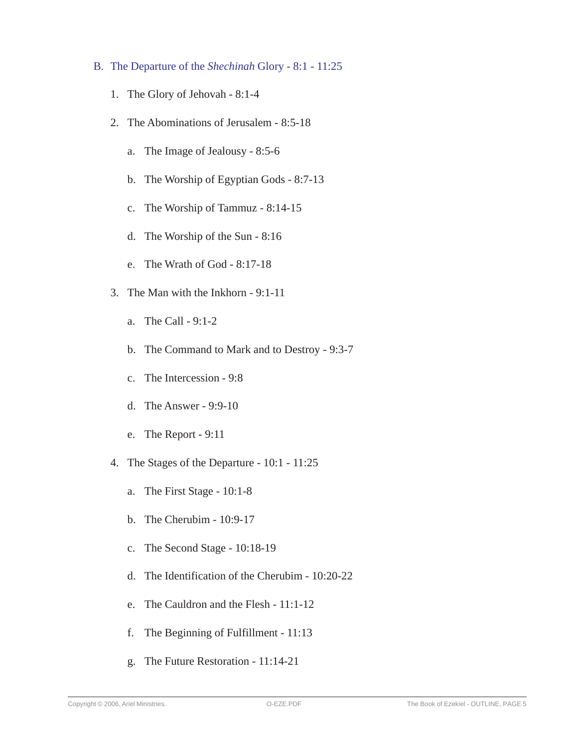- B. The Departure of the *Shechinah* Glory 8:1 11:25
	- 1. The Glory of Jehovah 8:1-4
	- 2. The Abominations of Jerusalem 8:5-18
		- a. The Image of Jealousy 8:5-6
		- b. The Worship of Egyptian Gods 8:7-13
		- c. The Worship of Tammuz 8:14-15
		- d. The Worship of the Sun 8:16
		- e. The Wrath of God 8:17-18
	- 3. The Man with the Inkhorn 9:1-11
		- a. The Call 9:1-2
		- b. The Command to Mark and to Destroy 9:3-7
		- c. The Intercession 9:8
		- d. The Answer 9:9-10
		- e. The Report 9:11
	- 4. The Stages of the Departure 10:1 11:25
		- a. The First Stage 10:1-8
		- b. The Cherubim 10:9-17
		- c. The Second Stage 10:18-19
		- d. The Identification of the Cherubim 10:20-22
		- e. The Cauldron and the Flesh 11:1-12
		- f. The Beginning of Fulfillment 11:13
		- g. The Future Restoration 11:14-21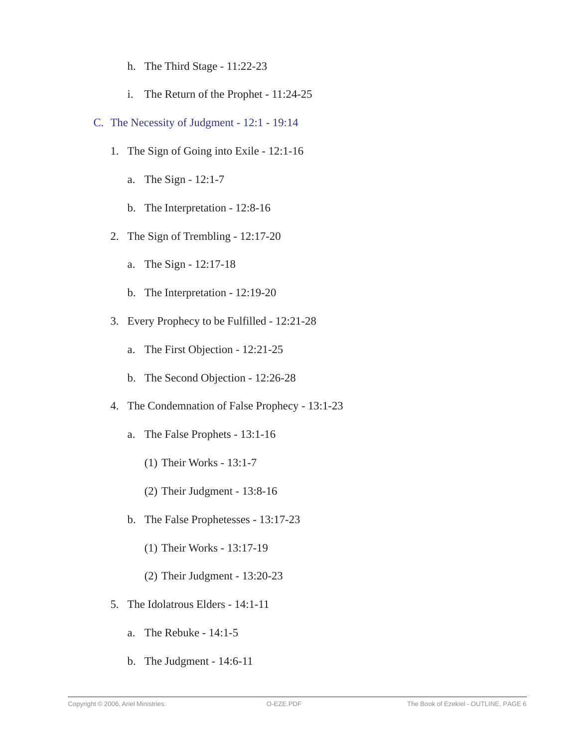- h. The Third Stage 11:22-23
- i. The Return of the Prophet 11:24-25
- C. The Necessity of Judgment 12:1 19:14
	- 1. The Sign of Going into Exile 12:1-16
		- a. The Sign 12:1-7
		- b. The Interpretation 12:8-16
	- 2. The Sign of Trembling 12:17-20
		- a. The Sign 12:17-18
		- b. The Interpretation 12:19-20
	- 3. Every Prophecy to be Fulfilled 12:21-28
		- a. The First Objection 12:21-25
		- b. The Second Objection 12:26-28
	- 4. The Condemnation of False Prophecy 13:1-23
		- a. The False Prophets 13:1-16
			- (1) Their Works 13:1-7
			- (2) Their Judgment 13:8-16
		- b. The False Prophetesses 13:17-23
			- (1) Their Works 13:17-19
			- (2) Their Judgment 13:20-23
	- 5. The Idolatrous Elders 14:1-11
		- a. The Rebuke 14:1-5
		- b. The Judgment 14:6-11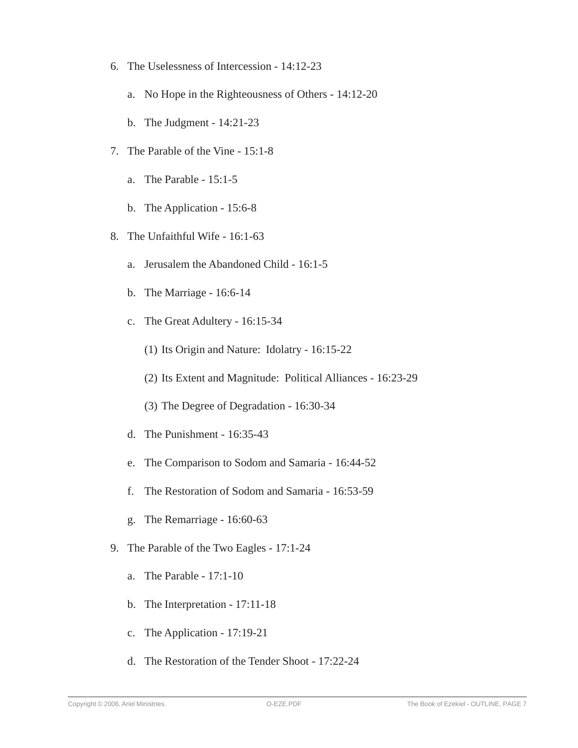- 6. The Uselessness of Intercession 14:12-23
	- a. No Hope in the Righteousness of Others 14:12-20
	- b. The Judgment 14:21-23
- 7. The Parable of the Vine 15:1-8
	- a. The Parable 15:1-5
	- b. The Application 15:6-8
- 8. The Unfaithful Wife 16:1-63
	- a. Jerusalem the Abandoned Child 16:1-5
	- b. The Marriage 16:6-14
	- c. The Great Adultery 16:15-34
		- (1) Its Origin and Nature: Idolatry 16:15-22
		- (2) Its Extent and Magnitude: Political Alliances 16:23-29
		- (3) The Degree of Degradation 16:30-34
	- d. The Punishment 16:35-43
	- e. The Comparison to Sodom and Samaria 16:44-52
	- f. The Restoration of Sodom and Samaria 16:53-59
	- g. The Remarriage 16:60-63
- 9. The Parable of the Two Eagles 17:1-24
	- a. The Parable 17:1-10
	- b. The Interpretation 17:11-18
	- c. The Application 17:19-21
	- d. The Restoration of the Tender Shoot 17:22-24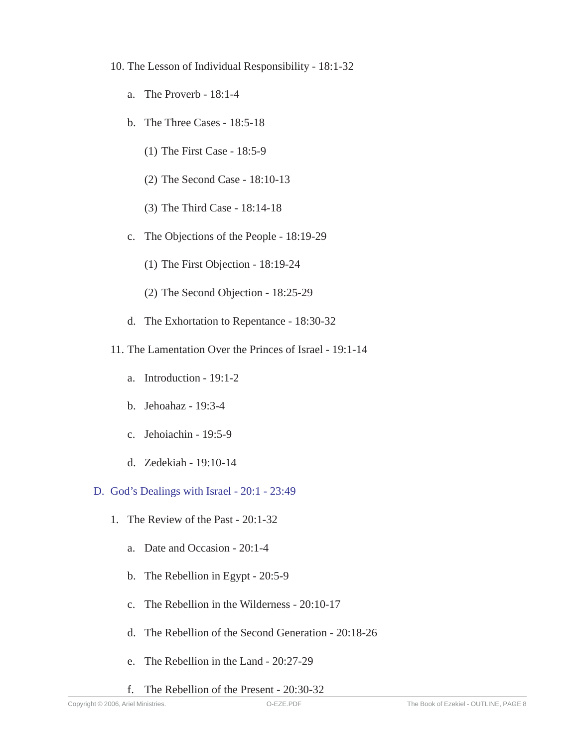- 10. The Lesson of Individual Responsibility 18:1-32
	- a. The Proverb 18:1-4
	- b. The Three Cases 18:5-18
		- (1) The First Case 18:5-9
		- (2) The Second Case 18:10-13
		- (3) The Third Case 18:14-18
	- c. The Objections of the People 18:19-29
		- (1) The First Objection 18:19-24
		- (2) The Second Objection 18:25-29
	- d. The Exhortation to Repentance 18:30-32
- 11. The Lamentation Over the Princes of Israel 19:1-14
	- a. Introduction 19:1-2
	- b. Jehoahaz 19:3-4
	- c. Jehoiachin 19:5-9
	- d. Zedekiah 19:10-14

#### D. God's Dealings with Israel - 20:1 - 23:49

- 1. The Review of the Past 20:1-32
	- a. Date and Occasion 20:1-4
	- b. The Rebellion in Egypt 20:5-9
	- c. The Rebellion in the Wilderness 20:10-17
	- d. The Rebellion of the Second Generation 20:18-26
	- e. The Rebellion in the Land 20:27-29
	- f. The Rebellion of the Present 20:30-32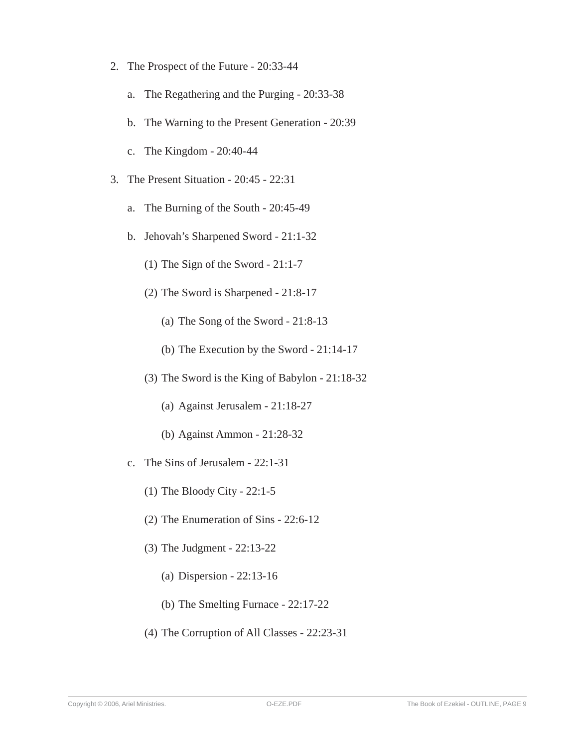- 2. The Prospect of the Future 20:33-44
	- a. The Regathering and the Purging 20:33-38
	- b. The Warning to the Present Generation 20:39
	- c. The Kingdom 20:40-44
- 3. The Present Situation 20:45 22:31
	- a. The Burning of the South 20:45-49
	- b. Jehovah's Sharpened Sword 21:1-32
		- (1) The Sign of the Sword 21:1-7
		- (2) The Sword is Sharpened 21:8-17
			- (a) The Song of the Sword 21:8-13
			- (b) The Execution by the Sword 21:14-17
		- (3) The Sword is the King of Babylon 21:18-32
			- (a) Against Jerusalem 21:18-27
			- (b) Against Ammon 21:28-32
	- c. The Sins of Jerusalem 22:1-31
		- (1) The Bloody City 22:1-5
		- (2) The Enumeration of Sins 22:6-12
		- (3) The Judgment 22:13-22
			- (a) Dispersion 22:13-16
			- (b) The Smelting Furnace 22:17-22
		- (4) The Corruption of All Classes 22:23-31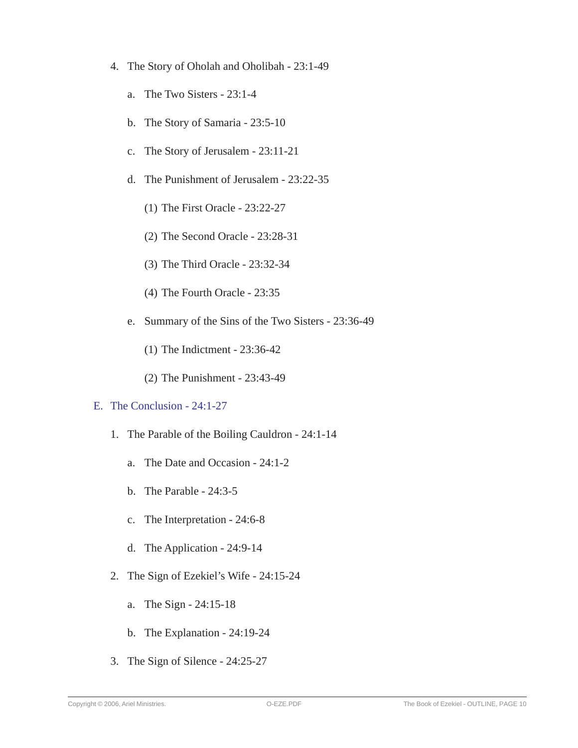- 4. The Story of Oholah and Oholibah 23:1-49
	- a. The Two Sisters 23:1-4
	- b. The Story of Samaria 23:5-10
	- c. The Story of Jerusalem 23:11-21
	- d. The Punishment of Jerusalem 23:22-35
		- (1) The First Oracle 23:22-27
		- (2) The Second Oracle 23:28-31
		- (3) The Third Oracle 23:32-34
		- (4) The Fourth Oracle 23:35
	- e. Summary of the Sins of the Two Sisters 23:36-49
		- (1) The Indictment 23:36-42
		- (2) The Punishment 23:43-49

#### E. The Conclusion - 24:1-27

- 1. The Parable of the Boiling Cauldron 24:1-14
	- a. The Date and Occasion 24:1-2
	- b. The Parable 24:3-5
	- c. The Interpretation 24:6-8
	- d. The Application 24:9-14
- 2. The Sign of Ezekiel's Wife 24:15-24
	- a. The Sign 24:15-18
	- b. The Explanation 24:19-24
- 3. The Sign of Silence 24:25-27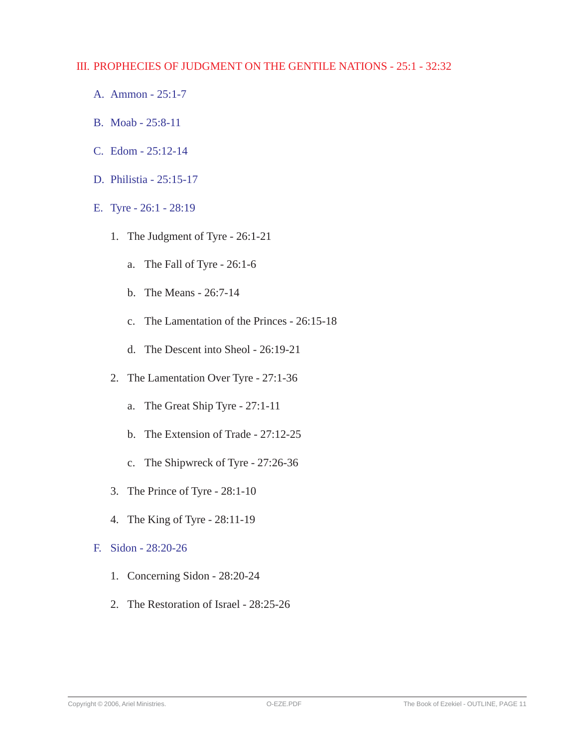#### III. PROPHECIES OF JUDGMENT ON THE GENTILE NATIONS - 25:1 - 32:32

- A. Ammon 25:1-7
- B. Moab 25:8-11
- C. Edom 25:12-14
- D. Philistia 25:15-17
- E. Tyre 26:1 28:19
	- 1. The Judgment of Tyre 26:1-21
		- a. The Fall of Tyre 26:1-6
		- b. The Means 26:7-14
		- c. The Lamentation of the Princes 26:15-18
		- d. The Descent into Sheol 26:19-21
	- 2. The Lamentation Over Tyre 27:1-36
		- a. The Great Ship Tyre 27:1-11
		- b. The Extension of Trade 27:12-25
		- c. The Shipwreck of Tyre 27:26-36
	- 3. The Prince of Tyre 28:1-10
	- 4. The King of Tyre 28:11-19
- F. Sidon 28:20-26
	- 1. Concerning Sidon 28:20-24
	- 2. The Restoration of Israel 28:25-26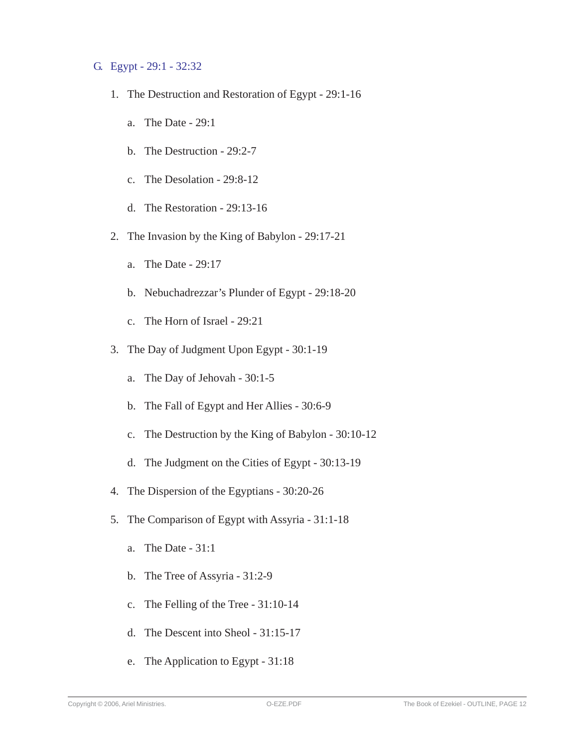#### G. Egypt - 29:1 - 32:32

- 1. The Destruction and Restoration of Egypt 29:1-16
	- a. The Date 29:1
	- b. The Destruction 29:2-7
	- c. The Desolation 29:8-12
	- d. The Restoration 29:13-16
- 2. The Invasion by the King of Babylon 29:17-21
	- a. The Date 29:17
	- b. Nebuchadrezzar's Plunder of Egypt 29:18-20
	- c. The Horn of Israel 29:21
- 3. The Day of Judgment Upon Egypt 30:1-19
	- a. The Day of Jehovah 30:1-5
	- b. The Fall of Egypt and Her Allies 30:6-9
	- c. The Destruction by the King of Babylon 30:10-12
	- d. The Judgment on the Cities of Egypt 30:13-19
- 4. The Dispersion of the Egyptians 30:20-26
- 5. The Comparison of Egypt with Assyria 31:1-18
	- a. The Date 31:1
	- b. The Tree of Assyria 31:2-9
	- c. The Felling of the Tree 31:10-14
	- d. The Descent into Sheol 31:15-17
	- e. The Application to Egypt 31:18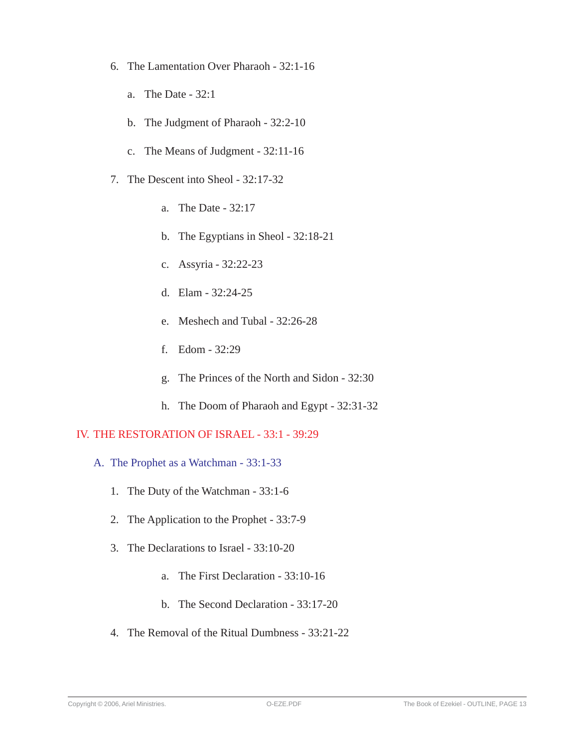- 6. The Lamentation Over Pharaoh 32:1-16
	- a. The Date 32:1
	- b. The Judgment of Pharaoh 32:2-10
	- c. The Means of Judgment 32:11-16
- 7. The Descent into Sheol 32:17-32
	- a. The Date 32:17
	- b. The Egyptians in Sheol 32:18-21
	- c. Assyria 32:22-23
	- d. Elam 32:24-25
	- e. Meshech and Tubal 32:26-28
	- f. Edom 32:29
	- g. The Princes of the North and Sidon 32:30
	- h. The Doom of Pharaoh and Egypt 32:31-32

#### IV. THE RESTORATION OF ISRAEL - 33:1 - 39:29

- A. The Prophet as a Watchman 33:1-33
	- 1. The Duty of the Watchman 33:1-6
	- 2. The Application to the Prophet 33:7-9
	- 3. The Declarations to Israel 33:10-20
		- a. The First Declaration 33:10-16
		- b. The Second Declaration 33:17-20
	- 4. The Removal of the Ritual Dumbness 33:21-22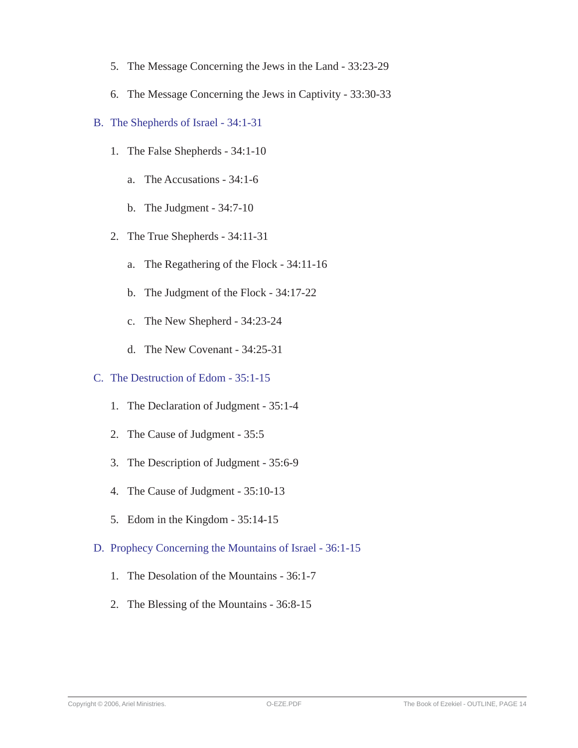- 5. The Message Concerning the Jews in the Land 33:23-29
- 6. The Message Concerning the Jews in Captivity 33:30-33
- B. The Shepherds of Israel 34:1-31
	- 1. The False Shepherds 34:1-10
		- a. The Accusations 34:1-6
		- b. The Judgment 34:7-10
	- 2. The True Shepherds 34:11-31
		- a. The Regathering of the Flock 34:11-16
		- b. The Judgment of the Flock 34:17-22
		- c. The New Shepherd 34:23-24
		- d. The New Covenant 34:25-31
- C. The Destruction of Edom 35:1-15
	- 1. The Declaration of Judgment 35:1-4
	- 2. The Cause of Judgment 35:5
	- 3. The Description of Judgment 35:6-9
	- 4. The Cause of Judgment 35:10-13
	- 5. Edom in the Kingdom 35:14-15
- D. Prophecy Concerning the Mountains of Israel 36:1-15
	- 1. The Desolation of the Mountains 36:1-7
	- 2. The Blessing of the Mountains 36:8-15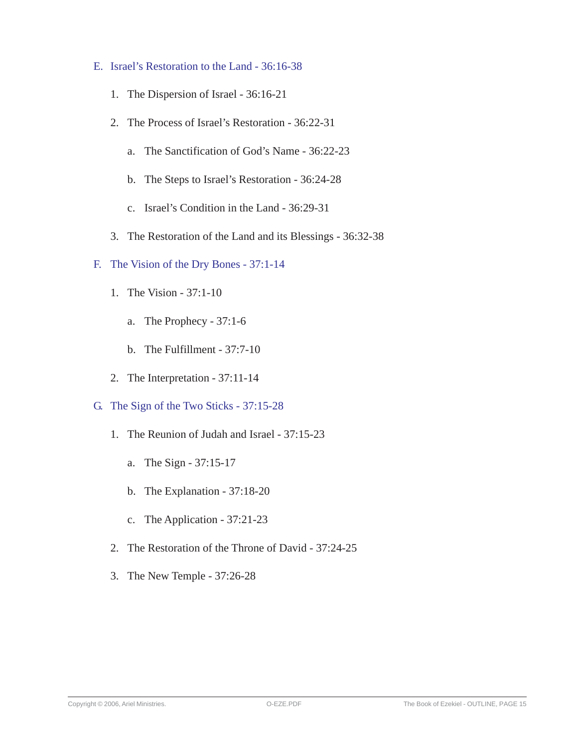- E. Israel's Restoration to the Land 36:16-38
	- 1. The Dispersion of Israel 36:16-21
	- 2. The Process of Israel's Restoration 36:22-31
		- a. The Sanctification of God's Name 36:22-23
		- b. The Steps to Israel's Restoration 36:24-28
		- c. Israel's Condition in the Land 36:29-31
	- 3. The Restoration of the Land and its Blessings 36:32-38
- F. The Vision of the Dry Bones 37:1-14
	- 1. The Vision 37:1-10
		- a. The Prophecy 37:1-6
		- b. The Fulfillment 37:7-10
	- 2. The Interpretation 37:11-14
- G. The Sign of the Two Sticks 37:15-28
	- 1. The Reunion of Judah and Israel 37:15-23
		- a. The Sign 37:15-17
		- b. The Explanation 37:18-20
		- c. The Application 37:21-23
	- 2. The Restoration of the Throne of David 37:24-25
	- 3. The New Temple 37:26-28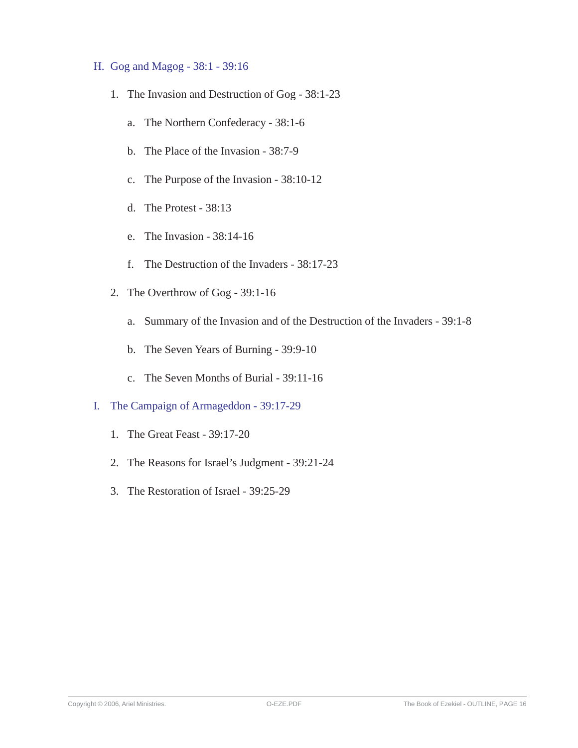#### H. Gog and Magog - 38:1 - 39:16

- 1. The Invasion and Destruction of Gog 38:1-23
	- a. The Northern Confederacy 38:1-6
	- b. The Place of the Invasion 38:7-9
	- c. The Purpose of the Invasion 38:10-12
	- d. The Protest 38:13
	- e. The Invasion 38:14-16
	- f. The Destruction of the Invaders 38:17-23
- 2. The Overthrow of Gog 39:1-16
	- a. Summary of the Invasion and of the Destruction of the Invaders 39:1-8
	- b. The Seven Years of Burning 39:9-10
	- c. The Seven Months of Burial 39:11-16
- I. The Campaign of Armageddon 39:17-29
	- 1. The Great Feast 39:17-20
	- 2. The Reasons for Israel's Judgment 39:21-24
	- 3. The Restoration of Israel 39:25-29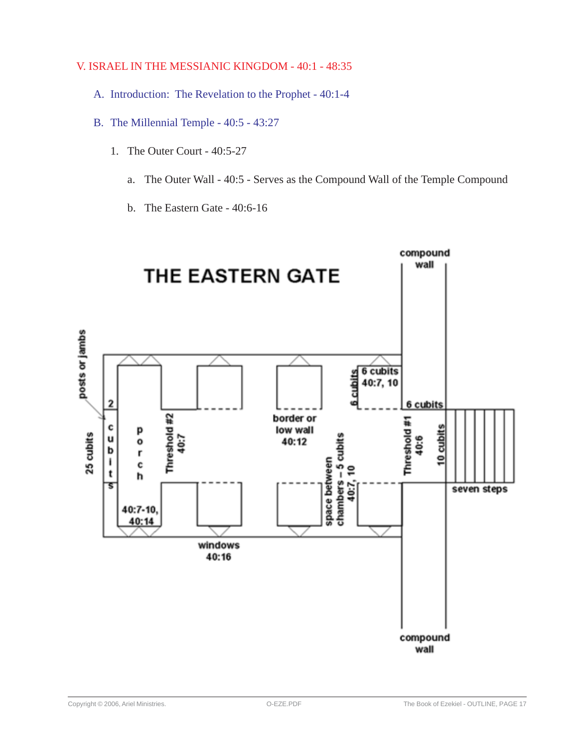#### V. ISRAEL IN THE MESSIANIC KINGDOM - 40:1 - 48:35

- A. Introduction: The Revelation to the Prophet 40:1-4
- B. The Millennial Temple 40:5 43:27
	- 1. The Outer Court 40:5-27
		- a. The Outer Wall 40:5 Serves as the Compound Wall of the Temple Compound
		- b. The Eastern Gate 40:6-16

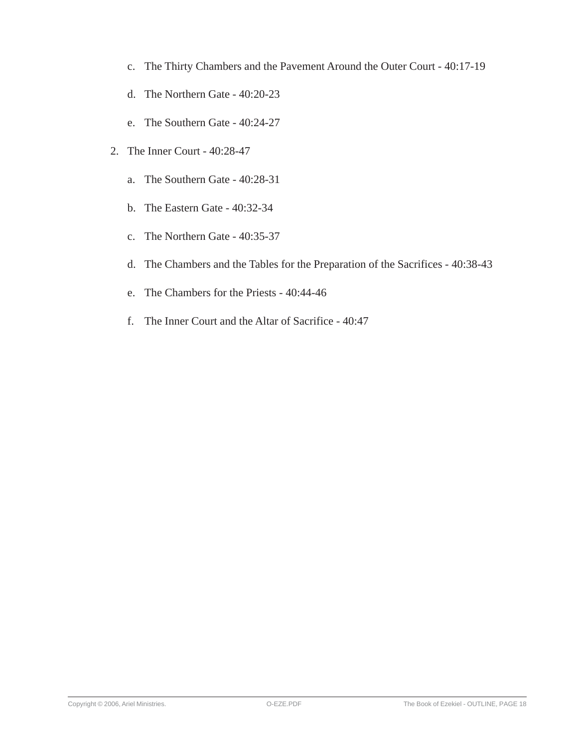- c. The Thirty Chambers and the Pavement Around the Outer Court 40:17-19
- d. The Northern Gate 40:20-23
- e. The Southern Gate 40:24-27
- 2. The Inner Court 40:28-47
	- a. The Southern Gate 40:28-31
	- b. The Eastern Gate 40:32-34
	- c. The Northern Gate 40:35-37
	- d. The Chambers and the Tables for the Preparation of the Sacrifices 40:38-43
	- e. The Chambers for the Priests 40:44-46
	- f. The Inner Court and the Altar of Sacrifice 40:47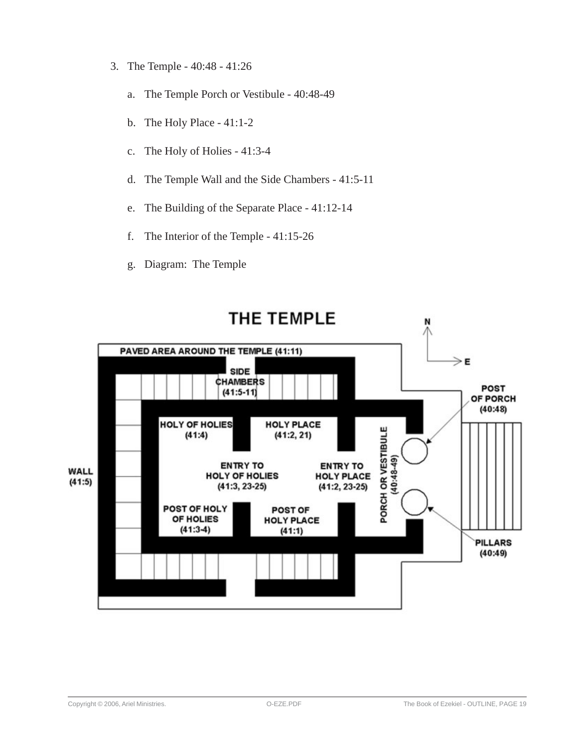- 3. The Temple 40:48 41:26
	- a. The Temple Porch or Vestibule 40:48-49
	- b. The Holy Place 41:1-2
	- c. The Holy of Holies 41:3-4
	- d. The Temple Wall and the Side Chambers 41:5-11
	- e. The Building of the Separate Place 41:12-14
	- f. The Interior of the Temple 41:15-26
	- g. Diagram: The Temple

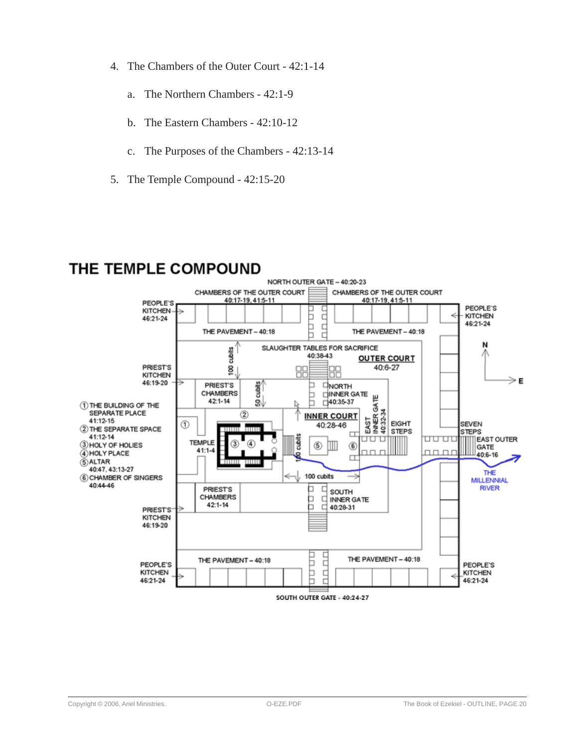- 4. The Chambers of the Outer Court 42:1-14
	- a. The Northern Chambers 42:1-9
	- b. The Eastern Chambers 42:10-12
	- c. The Purposes of the Chambers 42:13-14
- 5. The Temple Compound 42:15-20

### THE TEMPLE COMPOUND

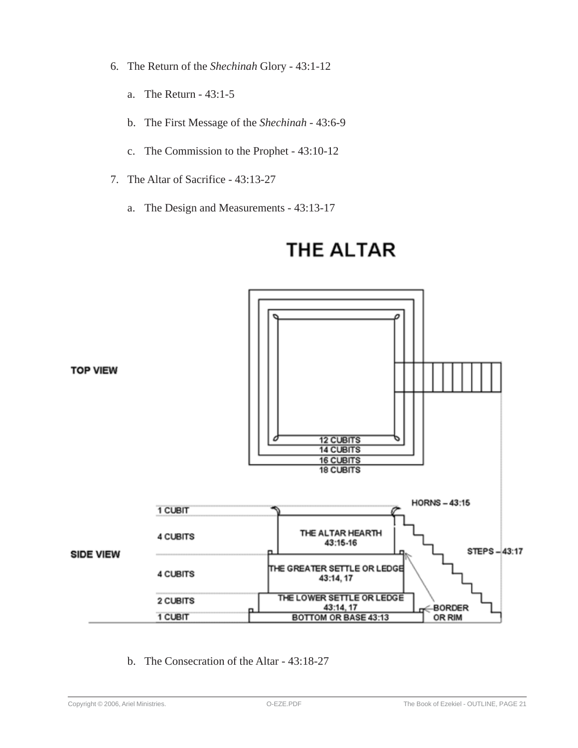- 6. The Return of the *Shechinah* Glory 43:1-12
	- a. The Return 43:1-5
	- b. The First Message of the *Shechinah* 43:6-9
	- c. The Commission to the Prophet 43:10-12
- 7. The Altar of Sacrifice 43:13-27
	- a. The Design and Measurements 43:13-17



# **THE ALTAR**

b. The Consecration of the Altar - 43:18-27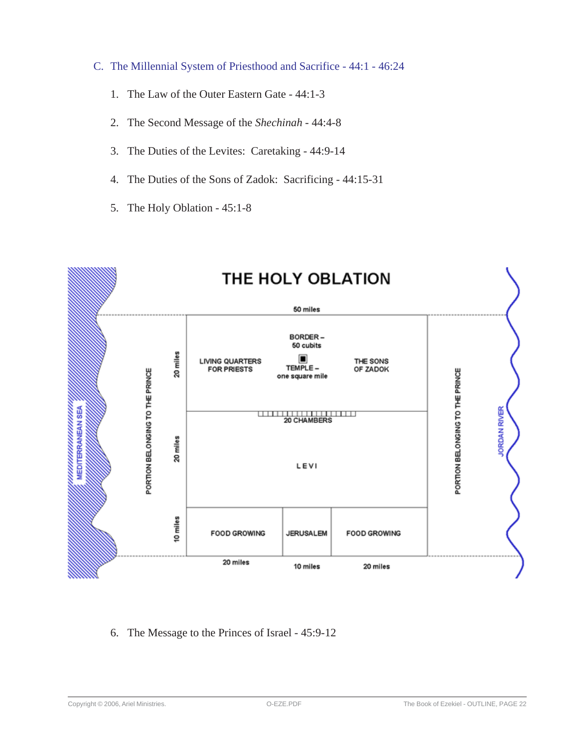- C. The Millennial System of Priesthood and Sacrifice 44:1 46:24
	- 1. The Law of the Outer Eastern Gate 44:1-3
	- 2. The Second Message of the *Shechinah* 44:4-8
	- 3. The Duties of the Levites: Caretaking 44:9-14
	- 4. The Duties of the Sons of Zadok: Sacrificing 44:15-31
	- 5. The Holy Oblation 45:1-8



6. The Message to the Princes of Israel - 45:9-12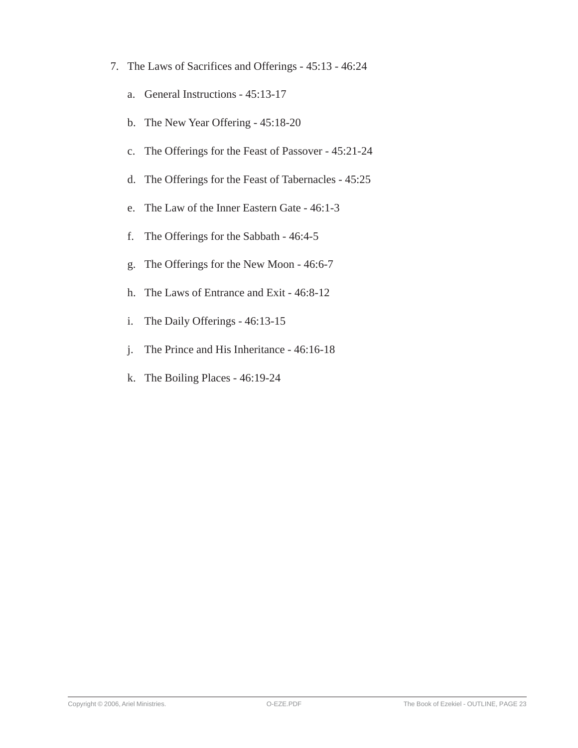- 7. The Laws of Sacrifices and Offerings 45:13 46:24
	- a. General Instructions 45:13-17
	- b. The New Year Offering 45:18-20
	- c. The Offerings for the Feast of Passover 45:21-24
	- d. The Offerings for the Feast of Tabernacles 45:25
	- e. The Law of the Inner Eastern Gate 46:1-3
	- f. The Offerings for the Sabbath 46:4-5
	- g. The Offerings for the New Moon 46:6-7
	- h. The Laws of Entrance and Exit 46:8-12
	- i. The Daily Offerings 46:13-15
	- j. The Prince and His Inheritance 46:16-18
	- k. The Boiling Places 46:19-24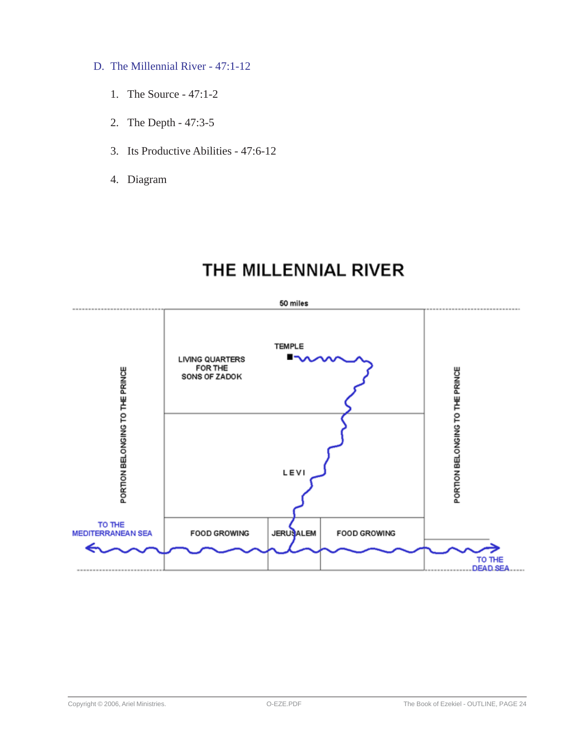- D. The Millennial River 47:1-12
	- 1. The Source 47:1-2
	- 2. The Depth 47:3-5
	- 3. Its Productive Abilities 47:6-12
	- 4. Diagram

## THE MILLENNIAL RIVER

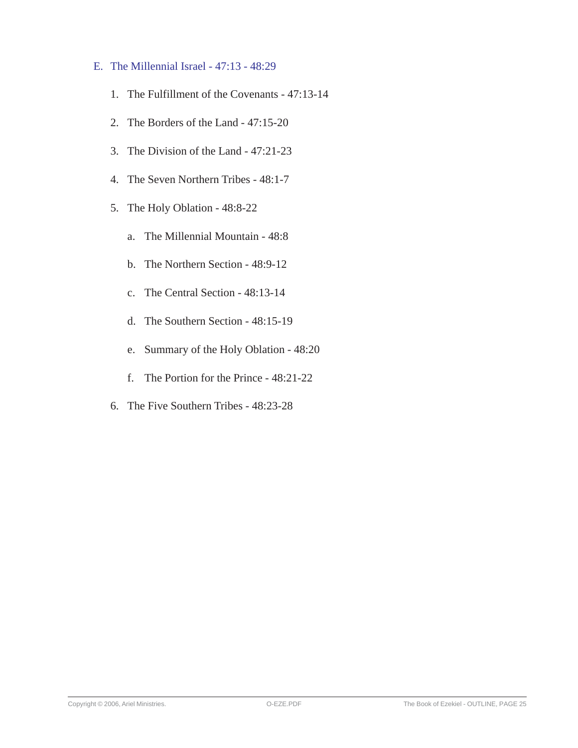- E. The Millennial Israel 47:13 48:29
	- 1. The Fulfillment of the Covenants 47:13-14
	- 2. The Borders of the Land 47:15-20
	- 3. The Division of the Land 47:21-23
	- 4. The Seven Northern Tribes 48:1-7
	- 5. The Holy Oblation 48:8-22
		- a. The Millennial Mountain 48:8
		- b. The Northern Section 48:9-12
		- c. The Central Section 48:13-14
		- d. The Southern Section 48:15-19
		- e. Summary of the Holy Oblation 48:20
		- f. The Portion for the Prince 48:21-22
	- 6. The Five Southern Tribes 48:23-28